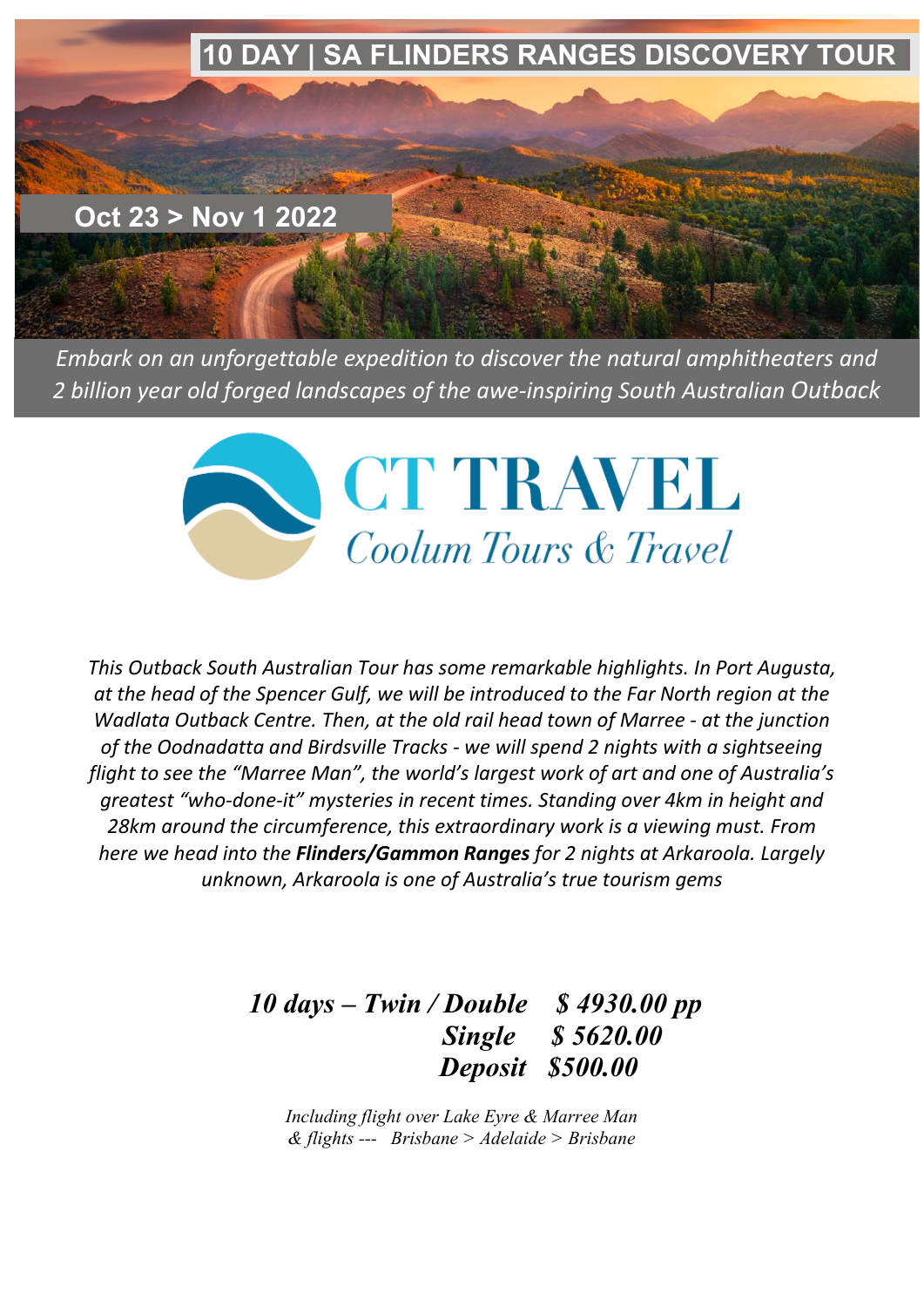

*Embark on an unforgettable expedition to discover the natural amphitheaters and 2 billion year old forged landscapes of the awe-inspiring South Australian Outback*



*This Outback South Australian Tour has some remarkable highlights. In Port Augusta, at the head of the Spencer Gulf, we will be introduced to the Far North region at the Wadlata Outback Centre. Then, at the old rail head town of Marree - at the junction of the Oodnadatta and Birdsville Tracks - we will spend 2 nights with a sightseeing flight to see the "Marree Man", the world's largest work of art and one of Australia's greatest "who-done-it" mysteries in recent times. Standing over 4km in height and 28km around the circumference, this extraordinary work is a viewing must. From here we head into the Flinders/Gammon Ranges for 2 nights at Arkaroola. Largely unknown, Arkaroola is one of Australia's true tourism gems*

# *10 days – Twin / Double \$ 4930.00 pp Single \$ 5620.00 Deposit \$500.00*

*Including flight over Lake Eyre & Marree Man & flights --- Brisbane > Adelaide > Brisbane*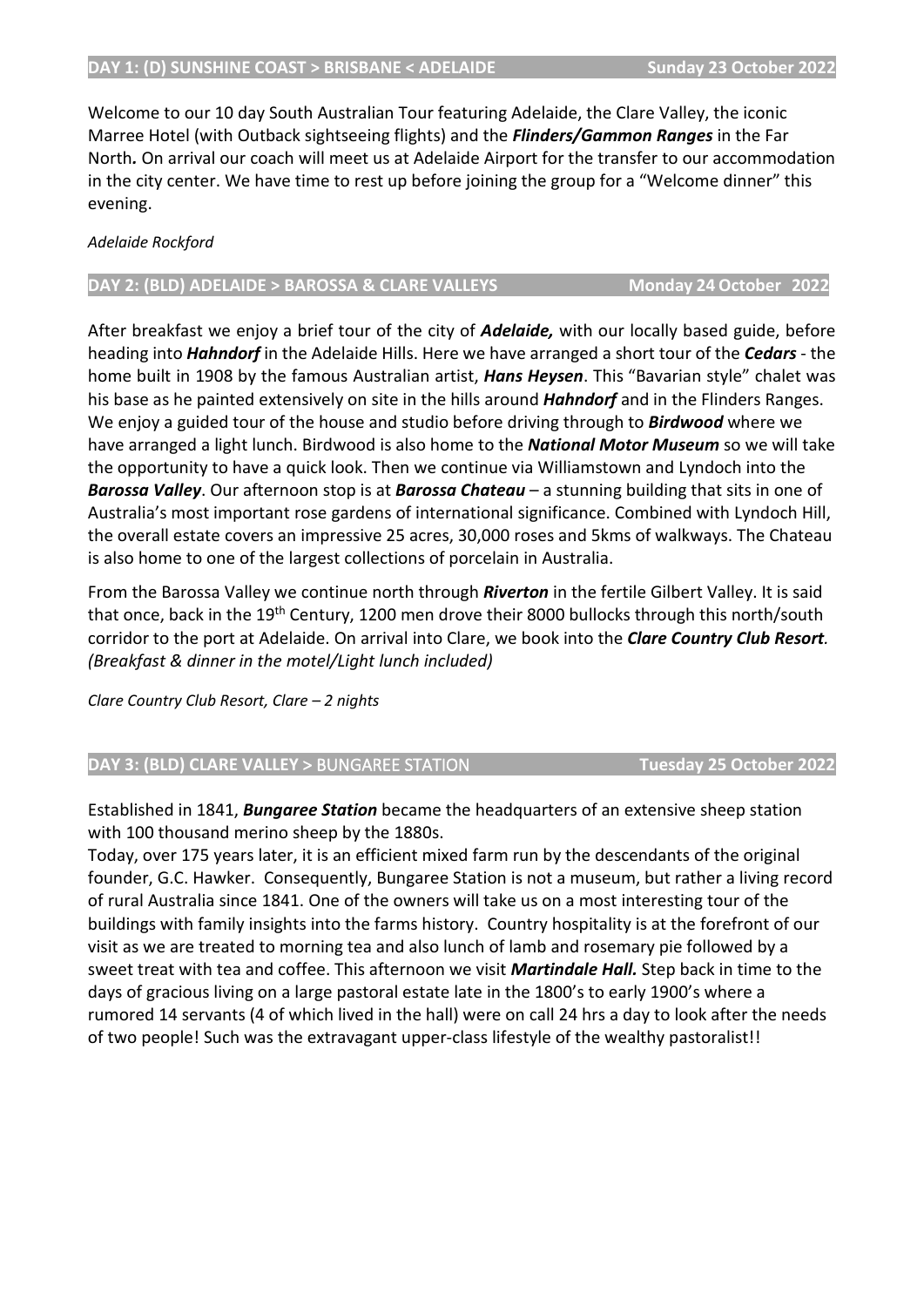Welcome to our 10 day South Australian Tour featuring Adelaide, the Clare Valley, the iconic Marree Hotel (with Outback sightseeing flights) and the *Flinders/Gammon Ranges* in the Far North*.* On arrival our coach will meet us at Adelaide Airport for the transfer to our accommodation in the city center. We have time to rest up before joining the group for a "Welcome dinner" this evening.

# *Adelaide Rockford*

## **DAY 2: (BLD) ADELAIDE > BAROSSA & CLARE VALLEYS Monday 24 October 2022**

After breakfast we enjoy a brief tour of the city of *Adelaide,* with our locally based guide, before heading into *Hahndorf* in the Adelaide Hills. Here we have arranged a short tour of the *Cedars* - the home built in 1908 by the famous Australian artist, *Hans Heysen*. This "Bavarian style" chalet was his base as he painted extensively on site in the hills around *Hahndorf* and in the Flinders Ranges. We enjoy a guided tour of the house and studio before driving through to *Birdwood* where we have arranged a light lunch. Birdwood is also home to the *National Motor Museum* so we will take the opportunity to have a quick look. Then we continue via Williamstown and Lyndoch into the *Barossa Valley*. Our afternoon stop is at *Barossa Chateau* – a stunning building that sits in one of Australia's most important rose gardens of international significance. Combined with Lyndoch Hill, the overall estate covers an impressive 25 acres, 30,000 roses and 5kms of walkways. The Chateau is also home to one of the largest collections of porcelain in Australia.

From the Barossa Valley we continue north through *Riverton* in the fertile Gilbert Valley. It is said that once, back in the 19<sup>th</sup> Century, 1200 men drove their 8000 bullocks through this north/south corridor to the port at Adelaide. On arrival into Clare, we book into the *Clare Country Club Resort. (Breakfast & dinner in the motel/Light lunch included)*

*Clare Country Club Resort, Clare – 2 nights*

# **DAY 3: (BLD) CLARE VALLEY** > BUNGAREE STATION **Tuesday 25 October 2022**

Established in 1841, *Bungaree Station* became the headquarters of an extensive sheep station with 100 thousand merino sheep by the 1880s.

Today, over 175 years later, it is an efficient mixed farm run by the descendants of the original founder, G.C. Hawker. Consequently, Bungaree Station is not a museum, but rather a living record of rural Australia since 1841. One of the owners will take us on a most interesting tour of the buildings with family insights into the farms history. Country hospitality is at the forefront of our visit as we are treated to morning tea and also lunch of lamb and rosemary pie followed by a sweet treat with tea and coffee. This afternoon we visit *Martindale Hall.* Step back in time to the days of gracious living on a large pastoral estate late in the 1800's to early 1900's where a rumored 14 servants (4 of which lived in the hall) were on call 24 hrs a day to look after the needs of two people! Such was the extravagant upper-class lifestyle of the wealthy pastoralist!!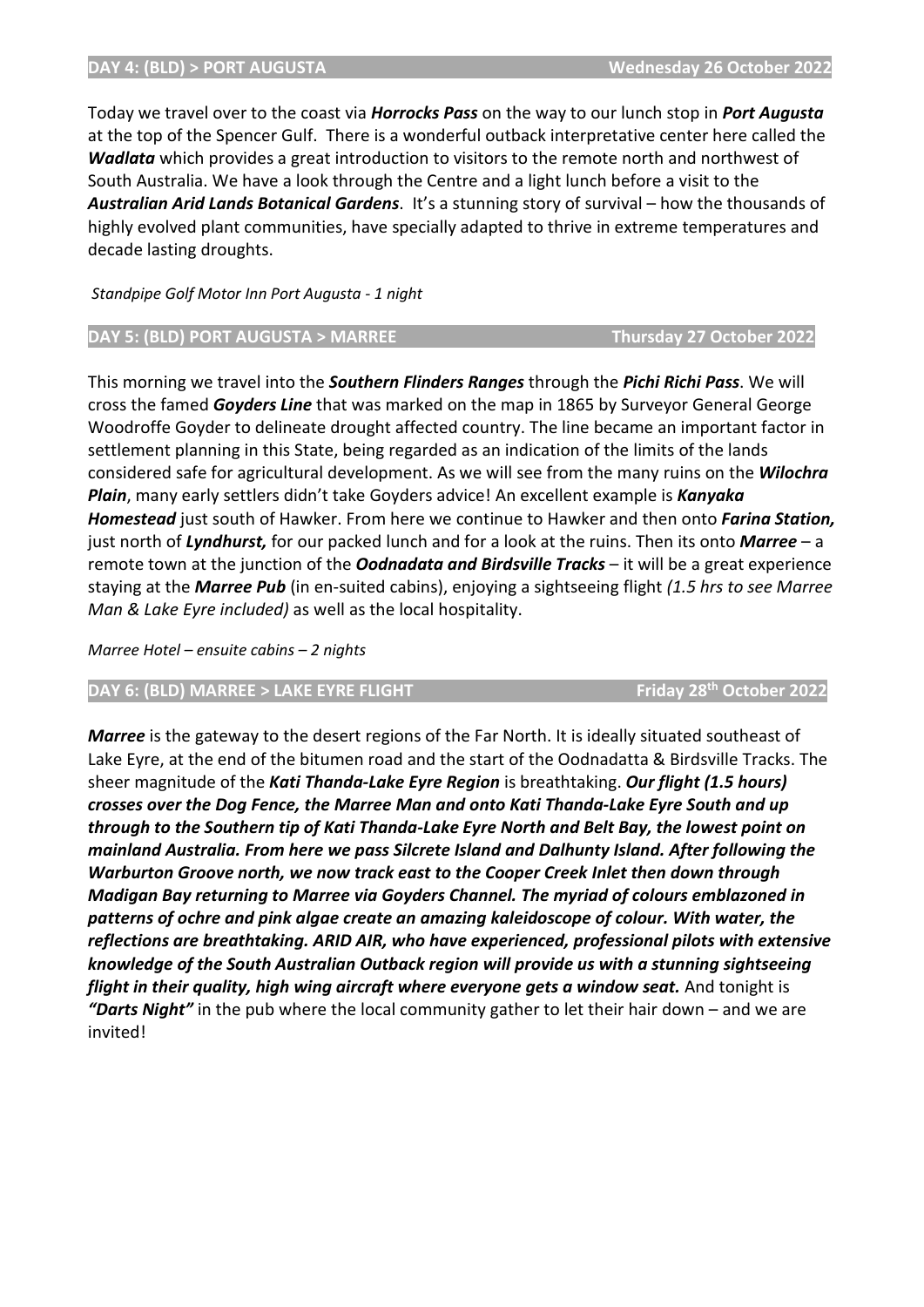#### **DAY 4: (BLD) > PORT AUGUSTA Wednesday 26 October 2022**

Today we travel over to the coast via *Horrocks Pass* on the way to our lunch stop in *Port Augusta* at the top of the Spencer Gulf. There is a wonderful outback interpretative center here called the *Wadlata* which provides a great introduction to visitors to the remote north and northwest of South Australia. We have a look through the Centre and a light lunch before a visit to the *Australian Arid Lands Botanical Gardens*. It's a stunning story of survival – how the thousands of highly evolved plant communities, have specially adapted to thrive in extreme temperatures and decade lasting droughts.

*Standpipe Golf Motor Inn Port Augusta - 1 night*

### **DAY 5: (BLD) PORT AUGUSTA > MARREE THE THURSDAY OCTOBER 2022**

This morning we travel into the *Southern Flinders Ranges* through the *Pichi Richi Pass*. We will cross the famed *Goyders Line* that was marked on the map in 1865 by Surveyor General George Woodroffe Goyder to delineate drought affected country. The line became an important factor in settlement planning in this State, being regarded as an indication of the limits of the lands considered safe for agricultural development. As we will see from the many ruins on the *Wilochra Plain*, many early settlers didn't take Goyders advice! An excellent example is *Kanyaka Homestead* just south of Hawker. From here we continue to Hawker and then onto *Farina Station,* just north of *Lyndhurst,* for our packed lunch and for a look at the ruins. Then its onto *Marree* – a remote town at the junction of the *Oodnadata and Birdsville Tracks* – it will be a great experience staying at the *Marree Pub* (in en-suited cabins), enjoying a sightseeing flight *(1.5 hrs to see Marree Man & Lake Eyre included)* as well as the local hospitality.

*Marree Hotel – ensuite cabins – 2 nights*

#### **DAY 6: (BLD) MARREE > LAKE EYRE FLIGHT Friday 28th October 2022**

*Marree* is the gateway to the desert regions of the Far North. It is ideally situated southeast of Lake Eyre, at the end of the bitumen road and the start of the Oodnadatta & Birdsville Tracks. The sheer magnitude of the *Kati Thanda-Lake Eyre Region* is breathtaking. *Our flight (1.5 hours) crosses over the Dog Fence, the Marree Man and onto Kati Thanda-Lake Eyre South and up through to the Southern tip of Kati Thanda-Lake Eyre North and Belt Bay, the lowest point on mainland Australia. From here we pass Silcrete Island and Dalhunty Island. After following the Warburton Groove north, we now track east to the Cooper Creek Inlet then down through Madigan Bay returning to Marree via Goyders Channel. The myriad of colours emblazoned in patterns of ochre and pink algae create an amazing kaleidoscope of colour. With water, the reflections are breathtaking. ARID AIR, who have experienced, professional pilots with extensive knowledge of the South Australian Outback region will provide us with a stunning sightseeing flight in their quality, high wing aircraft where everyone gets a window seat.* And tonight is *"Darts Night"* in the pub where the local community gather to let their hair down – and we are invited!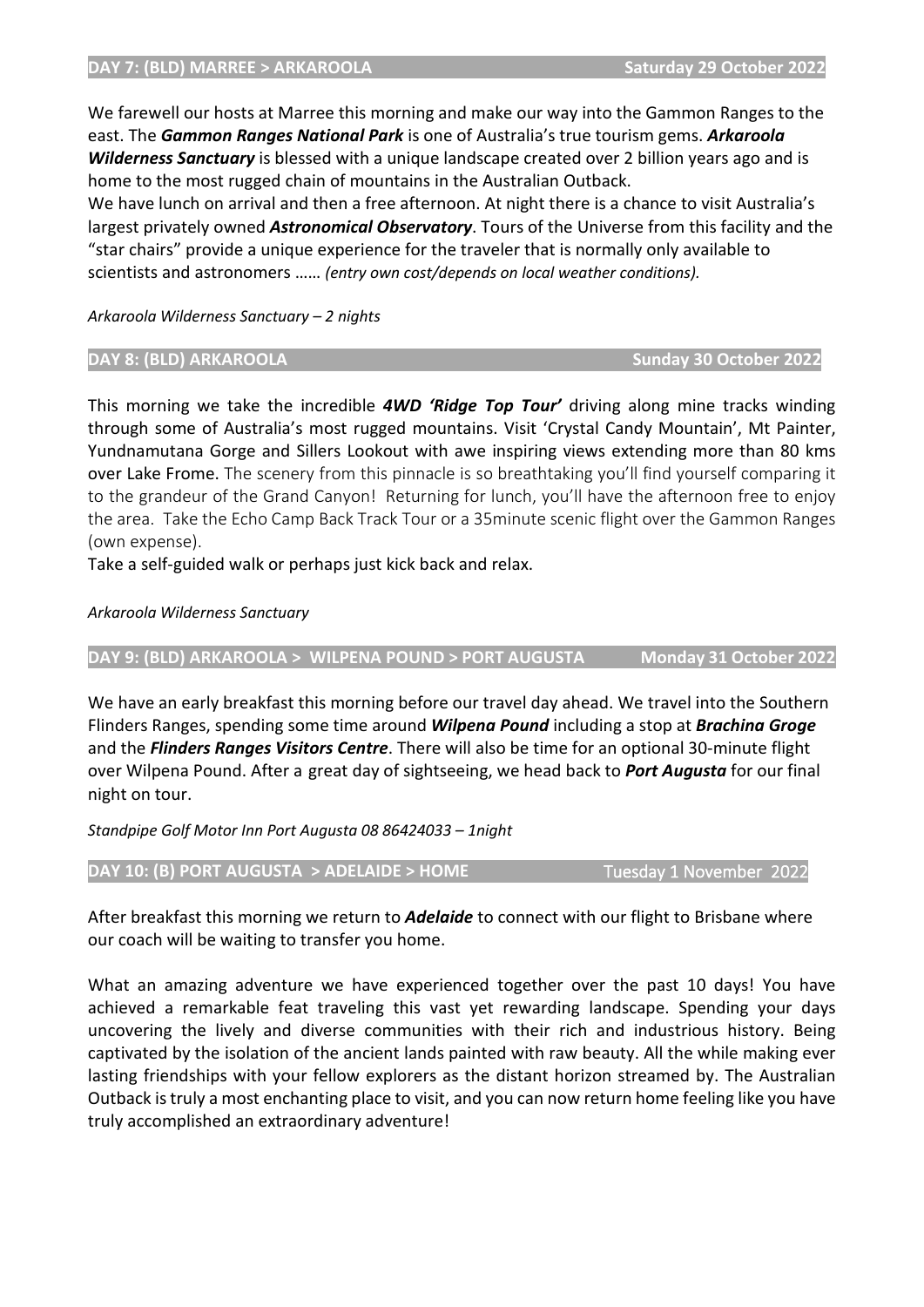We have lunch on arrival and then a free afternoon. At night there is a chance to visit Australia's largest privately owned *Astronomical Observatory*. Tours of the Universe from this facility and the "star chairs" provide a unique experience for the traveler that is normally only available to scientists and astronomers …… *(entry own cost/depends on local weather conditions).*

*Arkaroola Wilderness Sanctuary – 2 nights*

### **DAY 8: (BLD) ARKAROOLA Sunday 30 October 2022**

This morning we take the incredible *4WD 'Ridge Top Tour'* driving along mine tracks winding through some of Australia's most rugged mountains. Visit 'Crystal Candy Mountain', Mt Painter, Yundnamutana Gorge and Sillers Lookout with awe inspiring views extending more than 80 kms over Lake Frome. The scenery from this pinnacle is so breathtaking you'll find yourself comparing it to the grandeur of the Grand Canyon! Returning for lunch, you'll have the afternoon free to enjoy the area. Take the Echo Camp Back Track Tour or a 35minute scenic flight over the Gammon Ranges (own expense).

Take a self-guided walk or perhaps just kick back and relax.

## *Arkaroola Wilderness Sanctuary*

**DAY 9: (BLD) ARKAROOLA > WILPENA POUND > PORT AUGUSTA Monday 31 October 2022**

We have an early breakfast this morning before our travel day ahead. We travel into the Southern Flinders Ranges, spending some time around *Wilpena Pound* including a stop at *Brachina Groge* and the *Flinders Ranges Visitors Centre*. There will also be time for an optional 30-minute flight over Wilpena Pound. After a great day of sightseeing, we head back to *Port Augusta* for our final night on tour.

*Standpipe Golf Motor Inn Port Augusta 08 86424033 – 1night*

# **DAY 10: (B) PORT AUGUSTA > ADELAIDE > HOME Tuesday 1 November 2022**

After breakfast this morning we return to *Adelaide* to connect with our flight to Brisbane where our coach will be waiting to transfer you home.

What an amazing adventure we have experienced together over the past 10 days! You have achieved a remarkable feat traveling this vast yet rewarding landscape. Spending your days uncovering the lively and diverse communities with their rich and industrious history. Being captivated by the isolation of the ancient lands painted with raw beauty. All the while making ever lasting friendships with your fellow explorers as the distant horizon streamed by. The Australian Outback is truly a most enchanting place to visit, and you can now return home feeling like you have truly accomplished an extraordinary adventure!